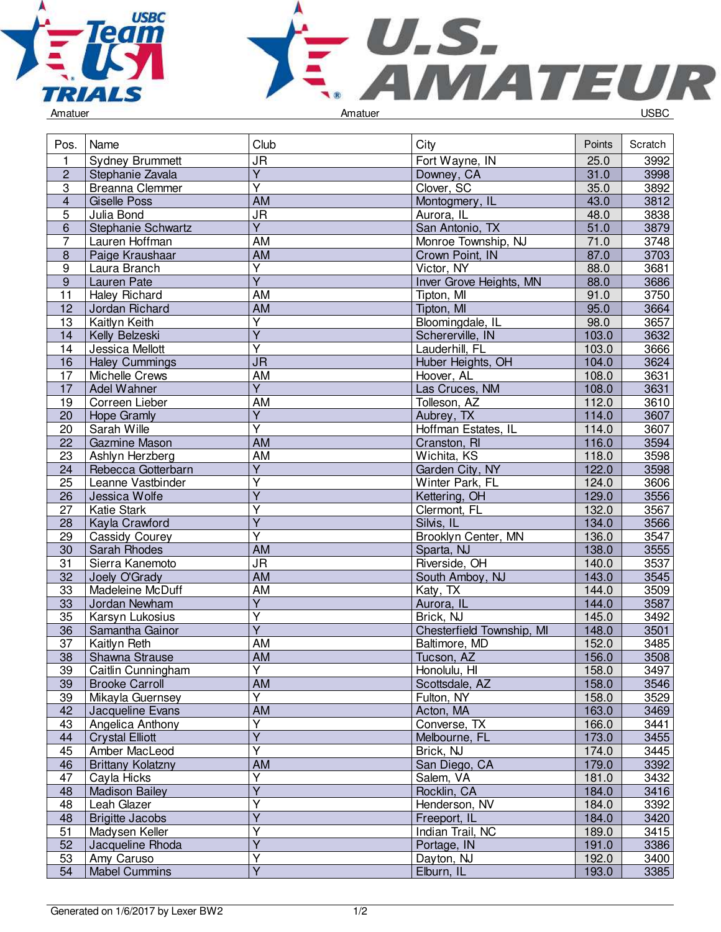



|  | Amatuer |  |
|--|---------|--|
|  |         |  |

| Pos.                    | Name                     | Club                              | City                          | Points         | Scratch |
|-------------------------|--------------------------|-----------------------------------|-------------------------------|----------------|---------|
| 1                       | <b>Sydney Brummett</b>   | $\overline{\mathsf{J}\mathsf{R}}$ | Fort Wayne, IN                | 25.0           | 3992    |
| $\overline{c}$          | Stephanie Zavala         | $\overline{Y}$                    | Downey, CA                    | 31.0           | 3998    |
| $\overline{3}$          | Breanna Clemmer          | $\overline{\mathsf{Y}}$           | Clover, SC                    |                | 3892    |
| $\overline{\mathbf{4}}$ | <b>Giselle Poss</b>      | <b>AM</b>                         | Montogmery, IL                |                | 3812    |
| $\overline{5}$          | Julia Bond               | $\overline{\mathsf{J}\mathsf{R}}$ | Aurora, IL                    |                | 3838    |
| $6\phantom{1}$          | Stephanie Schwartz       | $\overline{Y}$                    | San Antonio, TX               |                | 3879    |
| $\overline{7}$          | Lauren Hoffman           | <b>AM</b>                         | Monroe Township, NJ           |                | 3748    |
| $\,8\,$                 | Paige Kraushaar          | AM                                | Crown Point, IN               |                | 3703    |
| 9                       | Laura Branch             | Υ                                 | Victor, NY                    |                | 3681    |
| $\overline{9}$          | Lauren Pate              | $\overline{Y}$                    | Inver Grove Heights, MN       |                | 3686    |
| $\overline{11}$         | Haley Richard            | <b>AM</b>                         | Tipton, MI                    |                | 3750    |
| 12                      | Jordan Richard           | <b>AM</b>                         | Tipton, MI                    |                | 3664    |
| 13                      | Kaitlyn Keith            | $\overline{\mathsf{Y}}$           | Bloomingdale, IL              |                | 3657    |
| 14                      | Kelly Belzeski           | $\overline{\mathsf{Y}}$           | Schererville, IN              |                | 3632    |
| 14                      | Jessica Mellott          | $\overline{\mathsf{Y}}$           | Lauderhill, FL                | 103.0<br>103.0 | 3666    |
| 16                      | <b>Haley Cummings</b>    | $\overline{\mathsf{J}\mathsf{R}}$ | Huber Heights, OH             | 104.0          | 3624    |
| 17                      | Michelle Crews           | <b>AM</b>                         | Hoover, AL                    | 108.0          | 3631    |
| 17                      | Adel Wahner              | $\overline{Y}$                    | Las Cruces, NM                | 108.0          | 3631    |
| 19                      | Correen Lieber           | AM                                | Tolleson, AZ                  | 112.0          | 3610    |
| 20                      | <b>Hope Gramly</b>       | $\overline{Y}$                    | Aubrey, TX                    | 114.0          | 3607    |
| 20                      | Sarah Wille              | $\overline{\mathsf{Y}}$           | Hoffman Estates, IL           | 114.0          | 3607    |
| $\overline{22}$         | Gazmine Mason            | <b>AM</b>                         | Cranston, RI                  | 116.0          | 3594    |
| 23                      | Ashlyn Herzberg          | <b>AM</b>                         | Wichita, KS                   | 118.0          | 3598    |
| 24                      | Rebecca Gotterbarn       | $\overline{\mathsf{Y}}$           | Garden City, NY               | 122.0          | 3598    |
| 25                      | Leanne Vastbinder        | Y                                 | Winter Park, FL               | 124.0          | 3606    |
| 26                      | Jessica Wolfe            | $\overline{Y}$                    |                               | 129.0          | 3556    |
| 27                      | Katie Stark              | Y                                 | Kettering, OH<br>Clermont, FL | 132.0          | 3567    |
|                         |                          | $\overline{\mathsf{Y}}$           | Silvis, IL                    |                | 3566    |
| 28                      | Kayla Crawford           | Υ                                 | Brooklyn Center, MN           | 134.0<br>136.0 |         |
| 29                      | Cassidy Courey           | <b>AM</b>                         |                               | 138.0          | 3547    |
| 30                      | Sarah Rhodes             |                                   | Sparta, NJ                    |                | 3555    |
| $\overline{31}$         | Sierra Kanemoto          | $\overline{\mathsf{J}\mathsf{R}}$ | Riverside, OH                 |                | 3537    |
| 32                      | Joely O'Grady            | <b>AM</b>                         | South Amboy, NJ               |                | 3545    |
| 33                      | Madeleine McDuff         | <b>AM</b>                         | Katy, TX                      |                | 3509    |
| 33                      | Jordan Newham            | $\overline{\mathsf{Y}}$           | Aurora, IL                    |                | 3587    |
| 35                      | Karsyn Lukosius          | $\overline{\mathsf{Y}}$           | Brick, NJ                     | 145.0<br>148.0 | 3492    |
| 36                      | Samantha Gainor          | $\overline{\mathsf{Y}}$           | Chesterfield Township, MI     |                | 3501    |
| 37                      | Kaitlyn Reth             | AM                                | Baltimore, MD                 | 152.0          | 3485    |
| 38                      | Shawna Strause           | AM                                | Tucson, AZ                    | 156.0          | 3508    |
| <u>39</u>               | Caitlin Cunningham       | Y                                 | Honolulu, HI                  | 158.0          | 3497    |
| 39                      | <b>Brooke Carroll</b>    | AM                                | Scottsdale, AZ                | 158.0          | 3546    |
| 39                      | Mikayla Guernsey         | Ÿ                                 | Fulton, NY                    | 158.0          | 3529    |
| 42                      | Jacqueline Evans         | $\overline{AM}$                   | Acton, MA                     | 163.0          | 3469    |
| 43                      | Angelica Anthony         | Y                                 | Converse, TX                  | 166.0          | 3441    |
| 44                      | <b>Crystal Elliott</b>   | $\overline{Y}$                    | Melbourne, FL                 | 173.0          | 3455    |
| 45                      | Amber MacLeod            | Ÿ                                 | Brick, NJ                     | 174.0          | 3445    |
| 46                      | <b>Brittany Kolatzny</b> | AM                                | San Diego, CA                 | 179.0<br>181.0 | 3392    |
| 47                      | Cayla Hicks              | $\overline{\mathsf{Y}}$           | Salem, VA                     |                | 3432    |
| 48                      | <b>Madison Bailey</b>    | $\overline{Y}$                    | Rocklin, CA                   | 184.0          | 3416    |
| 48                      | Leah Glazer              | Υ                                 | Henderson, NV                 | 184.0          | 3392    |
| 48                      | <b>Brigitte Jacobs</b>   | $\overline{\mathsf{Y}}$           | Freeport, IL                  | 184.0          | 3420    |
| 51                      | Madysen Keller           | Ÿ                                 | Indian Trail, NC              | 189.0          | 3415    |
| 52                      | Jacqueline Rhoda         | $\overline{\mathsf{Y}}$           | Portage, IN                   | 191.0          | 3386    |
| 53                      | Amy Caruso               | Y                                 | Dayton, NJ                    | 192.0          | 3400    |
| 54                      | <b>Mabel Cummins</b>     | $\overline{Y}$                    | Elburn, IL                    | 193.0          | 3385    |